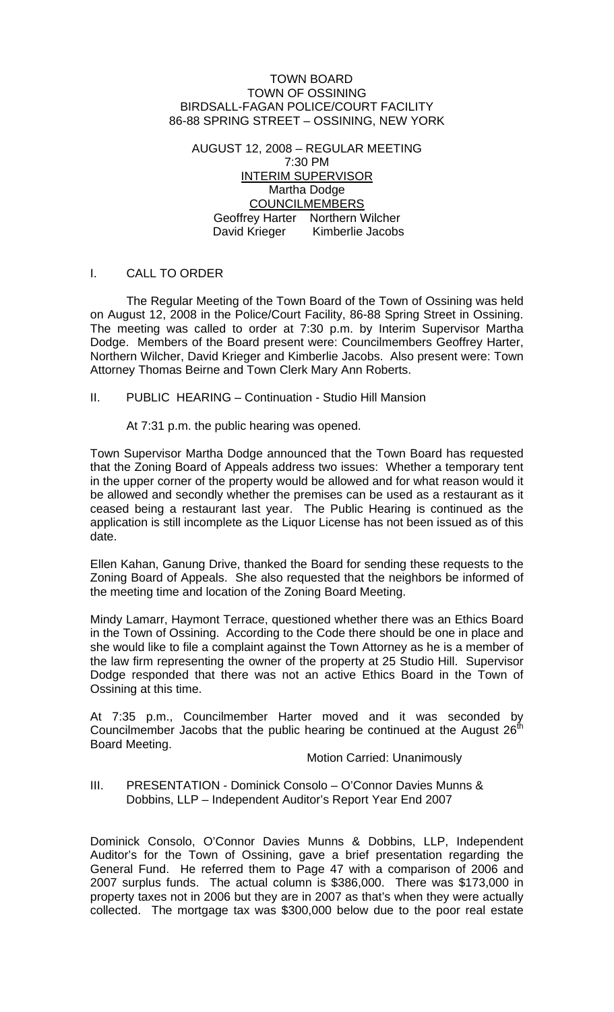#### TOWN BOARD TOWN OF OSSINING BIRDSALL-FAGAN POLICE/COURT FACILITY 86-88 SPRING STREET – OSSINING, NEW YORK

AUGUST 12, 2008 – REGULAR MEETING 7:30 PM INTERIM SUPERVISOR Martha Dodge COUNCILMEMBERS Geoffrey Harter Northern Wilcher David Krieger Kimberlie Jacobs

#### I. CALL TO ORDER

 The Regular Meeting of the Town Board of the Town of Ossining was held on August 12, 2008 in the Police/Court Facility, 86-88 Spring Street in Ossining. The meeting was called to order at 7:30 p.m. by Interim Supervisor Martha Dodge. Members of the Board present were: Councilmembers Geoffrey Harter, Northern Wilcher, David Krieger and Kimberlie Jacobs. Also present were: Town Attorney Thomas Beirne and Town Clerk Mary Ann Roberts.

II. PUBLIC HEARING – Continuation - Studio Hill Mansion

At 7:31 p.m. the public hearing was opened.

Town Supervisor Martha Dodge announced that the Town Board has requested that the Zoning Board of Appeals address two issues: Whether a temporary tent in the upper corner of the property would be allowed and for what reason would it be allowed and secondly whether the premises can be used as a restaurant as it ceased being a restaurant last year. The Public Hearing is continued as the application is still incomplete as the Liquor License has not been issued as of this date.

Ellen Kahan, Ganung Drive, thanked the Board for sending these requests to the Zoning Board of Appeals. She also requested that the neighbors be informed of the meeting time and location of the Zoning Board Meeting.

Mindy Lamarr, Haymont Terrace, questioned whether there was an Ethics Board in the Town of Ossining. According to the Code there should be one in place and she would like to file a complaint against the Town Attorney as he is a member of the law firm representing the owner of the property at 25 Studio Hill. Supervisor Dodge responded that there was not an active Ethics Board in the Town of Ossining at this time.

At 7:35 p.m., Councilmember Harter moved and it was seconded by Councilmember Jacobs that the public hearing be continued at the August  $26<sup>th</sup>$ Board Meeting.

#### Motion Carried: Unanimously

III. PRESENTATION - Dominick Consolo – O'Connor Davies Munns & Dobbins, LLP – Independent Auditor's Report Year End 2007

Dominick Consolo, O'Connor Davies Munns & Dobbins, LLP, Independent Auditor's for the Town of Ossining, gave a brief presentation regarding the General Fund. He referred them to Page 47 with a comparison of 2006 and 2007 surplus funds. The actual column is \$386,000. There was \$173,000 in property taxes not in 2006 but they are in 2007 as that's when they were actually collected. The mortgage tax was \$300,000 below due to the poor real estate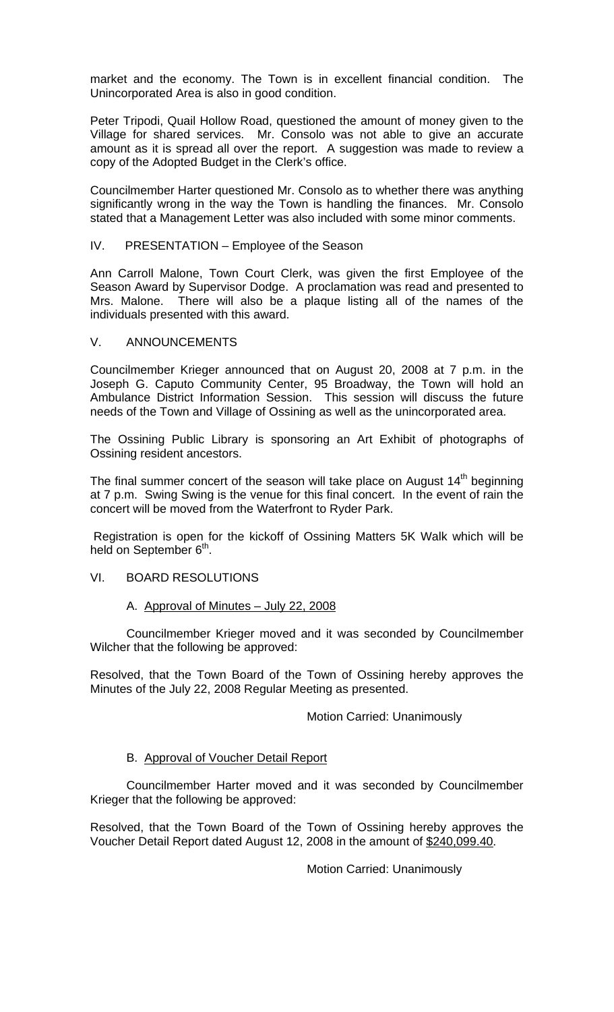market and the economy. The Town is in excellent financial condition. The Unincorporated Area is also in good condition.

Peter Tripodi, Quail Hollow Road, questioned the amount of money given to the Village for shared services. Mr. Consolo was not able to give an accurate amount as it is spread all over the report. A suggestion was made to review a copy of the Adopted Budget in the Clerk's office.

Councilmember Harter questioned Mr. Consolo as to whether there was anything significantly wrong in the way the Town is handling the finances. Mr. Consolo stated that a Management Letter was also included with some minor comments.

### IV. PRESENTATION – Employee of the Season

Ann Carroll Malone, Town Court Clerk, was given the first Employee of the Season Award by Supervisor Dodge. A proclamation was read and presented to Mrs. Malone. There will also be a plaque listing all of the names of the individuals presented with this award.

#### V. ANNOUNCEMENTS

Councilmember Krieger announced that on August 20, 2008 at 7 p.m. in the Joseph G. Caputo Community Center, 95 Broadway, the Town will hold an Ambulance District Information Session. This session will discuss the future needs of the Town and Village of Ossining as well as the unincorporated area.

The Ossining Public Library is sponsoring an Art Exhibit of photographs of Ossining resident ancestors.

The final summer concert of the season will take place on August  $14<sup>th</sup>$  beginning at 7 p.m. Swing Swing is the venue for this final concert. In the event of rain the concert will be moved from the Waterfront to Ryder Park.

 Registration is open for the kickoff of Ossining Matters 5K Walk which will be held on September 6<sup>th</sup>.

# VI. BOARD RESOLUTIONS

### A. Approval of Minutes – July 22, 2008

 Councilmember Krieger moved and it was seconded by Councilmember Wilcher that the following be approved:

Resolved, that the Town Board of the Town of Ossining hereby approves the Minutes of the July 22, 2008 Regular Meeting as presented.

#### Motion Carried: Unanimously

# B. Approval of Voucher Detail Report

 Councilmember Harter moved and it was seconded by Councilmember Krieger that the following be approved:

Resolved, that the Town Board of the Town of Ossining hereby approves the Voucher Detail Report dated August 12, 2008 in the amount of \$240,099.40.

Motion Carried: Unanimously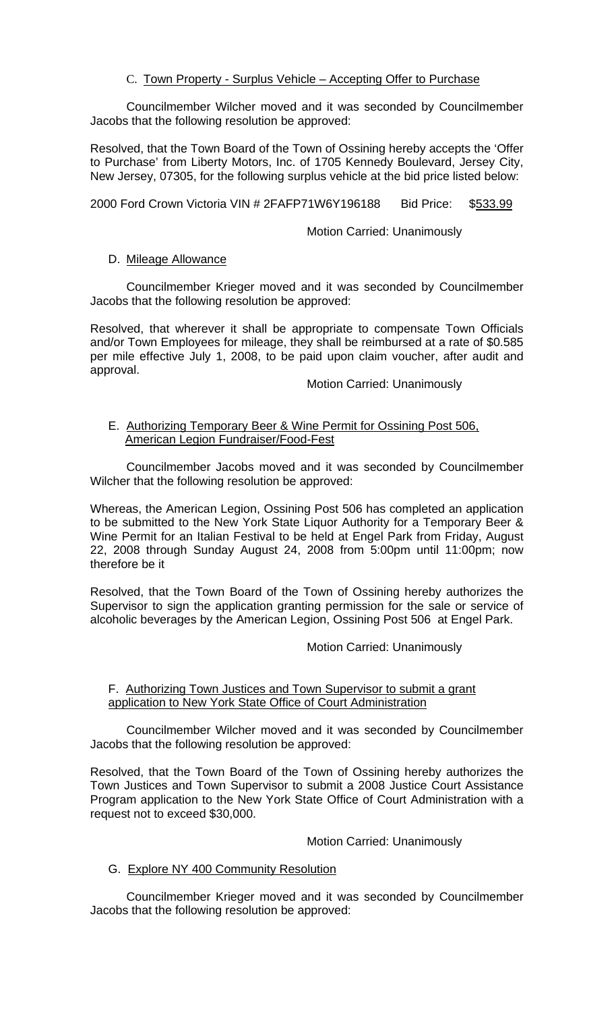# C. Town Property - Surplus Vehicle – Accepting Offer to Purchase

 Councilmember Wilcher moved and it was seconded by Councilmember Jacobs that the following resolution be approved:

Resolved, that the Town Board of the Town of Ossining hereby accepts the 'Offer to Purchase' from Liberty Motors, Inc. of 1705 Kennedy Boulevard, Jersey City, New Jersey, 07305, for the following surplus vehicle at the bid price listed below:

2000 Ford Crown Victoria VIN # 2FAFP71W6Y196188 Bid Price: \$533.99

### **Motion Carried: Unanimously**

## D. Mileage Allowance

 Councilmember Krieger moved and it was seconded by Councilmember Jacobs that the following resolution be approved:

Resolved, that wherever it shall be appropriate to compensate Town Officials and/or Town Employees for mileage, they shall be reimbursed at a rate of \$0.585 per mile effective July 1, 2008, to be paid upon claim voucher, after audit and approval.

Motion Carried: Unanimously

### E. Authorizing Temporary Beer & Wine Permit for Ossining Post 506, American Legion Fundraiser/Food-Fest

 Councilmember Jacobs moved and it was seconded by Councilmember Wilcher that the following resolution be approved:

Whereas, the American Legion, Ossining Post 506 has completed an application to be submitted to the New York State Liquor Authority for a Temporary Beer & Wine Permit for an Italian Festival to be held at Engel Park from Friday, August 22, 2008 through Sunday August 24, 2008 from 5:00pm until 11:00pm; now therefore be it

Resolved, that the Town Board of the Town of Ossining hereby authorizes the Supervisor to sign the application granting permission for the sale or service of alcoholic beverages by the American Legion, Ossining Post 506 at Engel Park.

#### Motion Carried: Unanimously

## F. Authorizing Town Justices and Town Supervisor to submit a grant application to New York State Office of Court Administration

 Councilmember Wilcher moved and it was seconded by Councilmember Jacobs that the following resolution be approved:

Resolved, that the Town Board of the Town of Ossining hereby authorizes the Town Justices and Town Supervisor to submit a 2008 Justice Court Assistance Program application to the New York State Office of Court Administration with a request not to exceed \$30,000.

# Motion Carried: Unanimously

# G. Explore NY 400 Community Resolution

 Councilmember Krieger moved and it was seconded by Councilmember Jacobs that the following resolution be approved: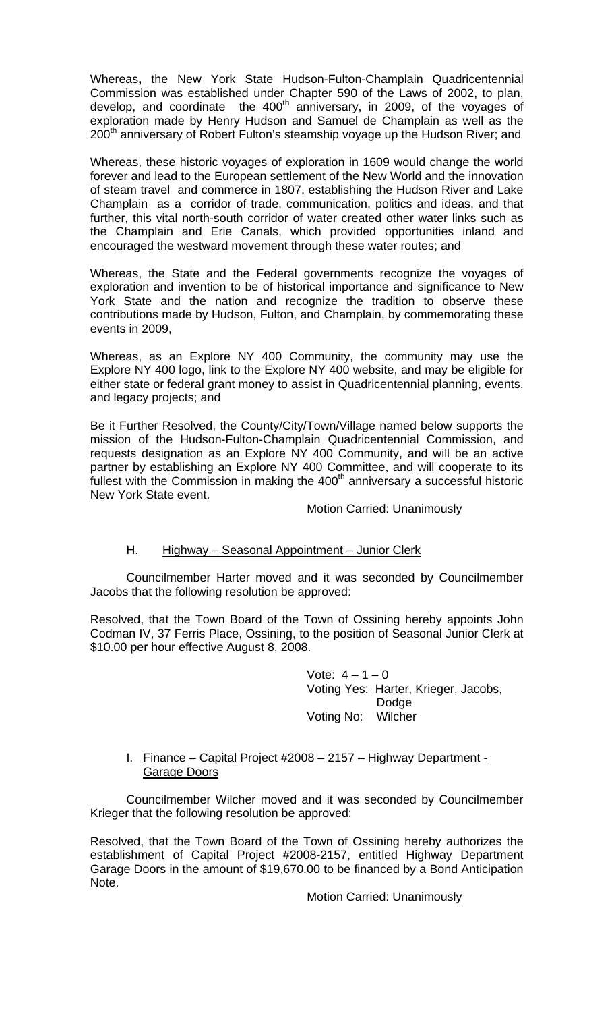Whereas**,** the New York State Hudson-Fulton-Champlain Quadricentennial Commission was established under Chapter 590 of the Laws of 2002, to plan, develop, and coordinate the 400<sup>th</sup> anniversary, in 2009, of the voyages of exploration made by Henry Hudson and Samuel de Champlain as well as the 200<sup>th</sup> anniversary of Robert Fulton's steamship voyage up the Hudson River; and

Whereas, these historic voyages of exploration in 1609 would change the world forever and lead to the European settlement of the New World and the innovation of steam travel and commerce in 1807, establishing the Hudson River and Lake Champlain as a corridor of trade, communication, politics and ideas, and that further, this vital north-south corridor of water created other water links such as the Champlain and Erie Canals, which provided opportunities inland and encouraged the westward movement through these water routes; and

Whereas, the State and the Federal governments recognize the voyages of exploration and invention to be of historical importance and significance to New York State and the nation and recognize the tradition to observe these contributions made by Hudson, Fulton, and Champlain, by commemorating these events in 2009,

Whereas, as an Explore NY 400 Community, the community may use the Explore NY 400 logo, link to the Explore NY 400 website, and may be eligible for either state or federal grant money to assist in Quadricentennial planning, events, and legacy projects; and

Be it Further Resolved, the County/City/Town/Village named below supports the mission of the Hudson-Fulton-Champlain Quadricentennial Commission, and requests designation as an Explore NY 400 Community, and will be an active partner by establishing an Explore NY 400 Committee, and will cooperate to its fullest with the Commission in making the  $400<sup>th</sup>$  anniversary a successful historic New York State event.

Motion Carried: Unanimously

# H. Highway – Seasonal Appointment – Junior Clerk

 Councilmember Harter moved and it was seconded by Councilmember Jacobs that the following resolution be approved:

Resolved, that the Town Board of the Town of Ossining hereby appoints John Codman IV, 37 Ferris Place, Ossining, to the position of Seasonal Junior Clerk at \$10.00 per hour effective August 8, 2008.

> Vote:  $4 - 1 - 0$  Voting Yes: Harter, Krieger, Jacobs, Dodge Voting No: Wilcher

## I. Finance – Capital Project #2008 – 2157 – Highway Department - Garage Doors

Councilmember Wilcher moved and it was seconded by Councilmember Krieger that the following resolution be approved:

Resolved, that the Town Board of the Town of Ossining hereby authorizes the establishment of Capital Project #2008-2157, entitled Highway Department Garage Doors in the amount of \$19,670.00 to be financed by a Bond Anticipation Note.

Motion Carried: Unanimously